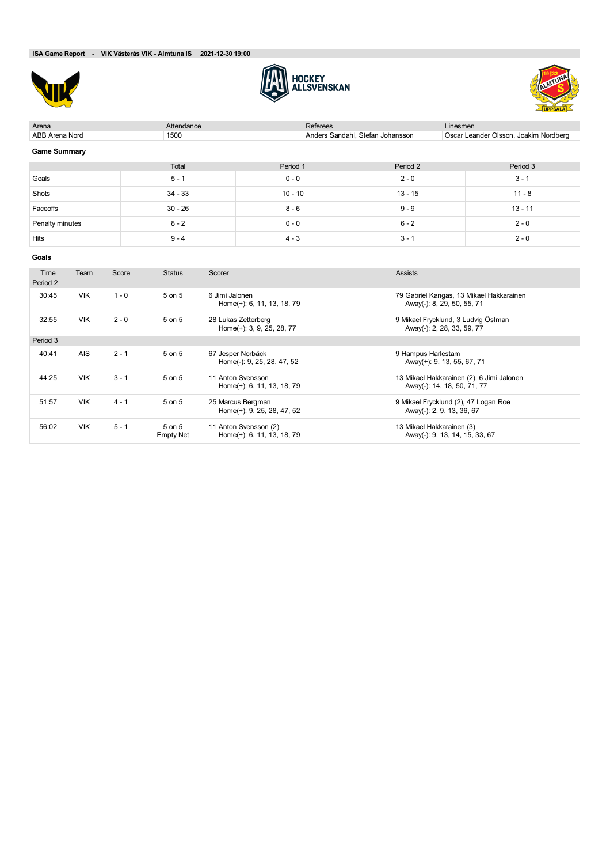





| Arena                 |            |         | Attendance    |                |                                                  | <b>Referees</b> |                                     | Linesmen                   |                                          |
|-----------------------|------------|---------|---------------|----------------|--------------------------------------------------|-----------------|-------------------------------------|----------------------------|------------------------------------------|
| <b>ABB Arena Nord</b> |            |         | 1500          |                |                                                  |                 | Anders Sandahl, Stefan Johansson    |                            | Oscar Leander Olsson, Joakim Nordberg    |
| <b>Game Summary</b>   |            |         |               |                |                                                  |                 |                                     |                            |                                          |
|                       |            |         | Total         |                | Period 1                                         |                 | Period 2                            |                            | Period 3                                 |
| Goals                 |            |         | $5 - 1$       |                | $0 - 0$                                          |                 | $2 - 0$                             |                            | $3 - 1$                                  |
| Shots                 |            |         | $34 - 33$     |                | $10 - 10$                                        |                 | $13 - 15$                           |                            | $11 - 8$                                 |
| Faceoffs              |            |         | $30 - 26$     |                | $8 - 6$                                          |                 | $9 - 9$                             |                            | $13 - 11$                                |
| Penalty minutes       |            |         | $8 - 2$       |                | $0 - 0$                                          |                 | $6 - 2$                             |                            | $2 - 0$                                  |
| Hits                  |            |         | $9 - 4$       |                | $4 - 3$                                          |                 | $3 - 1$                             |                            | $2 - 0$                                  |
| Goals                 |            |         |               |                |                                                  |                 |                                     |                            |                                          |
| Time<br>Period 2      | Team       | Score   | <b>Status</b> | Scorer         |                                                  |                 | <b>Assists</b>                      |                            |                                          |
| 30:45                 | <b>VIK</b> | $1 - 0$ | 5 on 5        | 6 Jimi Jalonen | Home(+): 6, 11, 13, 18, 79                       |                 |                                     | Away(-): 8, 29, 50, 55, 71 | 79 Gabriel Kangas, 13 Mikael Hakkarainen |
| 32:55                 | <b>VIK</b> | $2 - 0$ | 5 on 5        |                | 28 Lukas Zetterberg<br>Home(+): 3, 9, 25, 28, 77 |                 | 9 Mikael Frycklund, 3 Ludvig Östman | Away(-): 2, 28, 33, 59, 77 |                                          |
| Period 3              |            |         |               |                |                                                  |                 |                                     |                            |                                          |
| 40:41                 | <b>AIS</b> | $2 - 1$ | 5 on 5        |                | 67 Jesper Norbäck<br>Home(-): 9, 25, 28, 47, 52  |                 | 9 Hampus Harlestam                  | Away(+): 9, 13, 55, 67, 71 |                                          |

| 44:25 | <b>VIK</b> | $3 - 1$ | $5$ on $5$       | 11 Anton Svensson          | 13 Mikael Hakkarainen (2), 6 Jimi Jalonen |
|-------|------------|---------|------------------|----------------------------|-------------------------------------------|
|       |            |         |                  | Home(+): 6, 11, 13, 18, 79 | Away(-): 14, 18, 50, 71, 77               |
| 51:57 | VIK        | $4 - 1$ | 5 on 5           | 25 Marcus Bergman          | 9 Mikael Frycklund (2), 47 Logan Roe      |
|       |            |         |                  | Home(+): 9, 25, 28, 47, 52 | Away(-): 2, 9, 13, 36, 67                 |
| 56:02 | <b>VIK</b> | $5 - 1$ | 5 on 5           | 11 Anton Svensson (2)      | 13 Mikael Hakkarainen (3)                 |
|       |            |         | <b>Empty Net</b> | Home(+): 6, 11, 13, 18, 79 | Away(-): 9, 13, 14, 15, 33, 67            |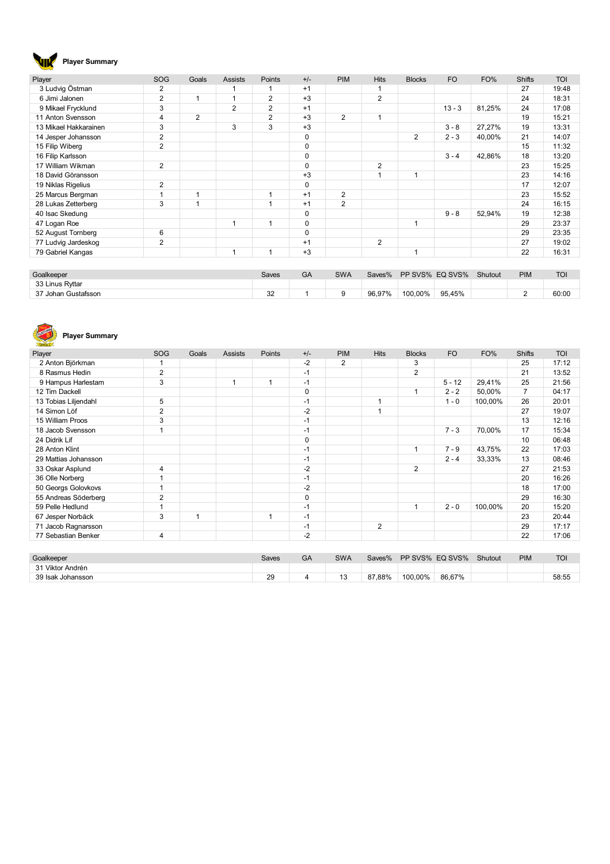# **Player Summary**

| Player                | <b>SOG</b>     | Goals                   | <b>Assists</b> | Points         | $+/-$       | <b>PIM</b>     | <b>Hits</b>    | <b>Blocks</b> | <b>FO</b> | FO%    | <b>Shifts</b> | <b>TOI</b> |
|-----------------------|----------------|-------------------------|----------------|----------------|-------------|----------------|----------------|---------------|-----------|--------|---------------|------------|
| 3 Ludvig Östman       | 2              |                         |                |                | $+1$        |                |                |               |           |        | 27            | 19:48      |
| 6 Jimi Jalonen        | 2              | 1                       | ٠              | $\overline{2}$ | $+3$        |                | $\overline{2}$ |               |           |        | 24            | 18:31      |
| 9 Mikael Frycklund    | 3              |                         | $\overline{2}$ | 2              | $+1$        |                |                |               | $13 - 3$  | 81,25% | 24            | 17:08      |
| 11 Anton Svensson     | $\overline{4}$ | $\overline{2}$          |                | $\overline{2}$ | $+3$        | $\overline{2}$ |                |               |           |        | 19            | 15:21      |
| 13 Mikael Hakkarainen | 3              |                         | 3              | 3              | $+3$        |                |                |               | $3 - 8$   | 27,27% | 19            | 13:31      |
| 14 Jesper Johansson   | 2              |                         |                |                | $\mathbf 0$ |                |                | 2             | $2 - 3$   | 40,00% | 21            | 14:07      |
| 15 Filip Wiberg       | 2              |                         |                |                | 0           |                |                |               |           |        | 15            | 11:32      |
| 16 Filip Karlsson     |                |                         |                |                | 0           |                |                |               | $3 - 4$   | 42,86% | 18            | 13:20      |
| 17 William Wikman     | 2              |                         |                |                | 0           |                | $\overline{2}$ |               |           |        | 23            | 15:25      |
| 18 David Göransson    |                |                         |                |                | $+3$        |                |                |               |           |        | 23            | 14:16      |
| 19 Niklas Rigelius    | 2              |                         |                |                | 0           |                |                |               |           |        | 17            | 12:07      |
| 25 Marcus Bergman     |                | 1                       |                |                | $+1$        | 2              |                |               |           |        | 23            | 15:52      |
| 28 Lukas Zetterberg   | 3              | $\overline{\mathbf{1}}$ |                |                | $+1$        | $\overline{2}$ |                |               |           |        | 24            | 16:15      |
| 40 Isac Skedung       |                |                         |                |                | $\mathbf 0$ |                |                |               | $9 - 8$   | 52,94% | 19            | 12:38      |
| 47 Logan Roe          |                |                         | 1              | 1              | $\mathbf 0$ |                |                |               |           |        | 29            | 23:37      |
| 52 August Tornberg    | 6              |                         |                |                | $\Omega$    |                |                |               |           |        | 29            | 23:35      |
| 77 Ludvig Jardeskog   | $\overline{2}$ |                         |                |                | $+1$        |                | $\overline{2}$ |               |           |        | 27            | 19:02      |
| 79 Gabriel Kangas     |                |                         | 1              |                | $+3$        |                |                |               |           |        | 22            | 16:31      |

| Goalkeeper          | Saves | GA | <b>SWA</b> | Saves% | PP SVS% EQ SVS% |        | Shutout | PIM | TOI   |
|---------------------|-------|----|------------|--------|-----------------|--------|---------|-----|-------|
| 33 Linus Ryttar     |       |    |            |        |                 |        |         |     |       |
| 37 Johan Gustafsson | 32    |    |            | 96,97% | 100.00%         | 95,45% |         |     | 60:00 |

#### **REALWAYS Player Summary**

| Player               | <b>SOG</b>     | Goals | <b>Assists</b> | Points | $+/-$       | <b>PIM</b> | <b>Hits</b>    | <b>Blocks</b>  | <b>FO</b> | FO%     | <b>Shifts</b> | <b>TOI</b> |
|----------------------|----------------|-------|----------------|--------|-------------|------------|----------------|----------------|-----------|---------|---------------|------------|
| 2 Anton Björkman     |                |       |                |        | $-2$        | 2          |                | 3              |           |         | 25            | 17:12      |
| 8 Rasmus Hedin       | 2              |       |                |        | $-1$        |            |                | $\overline{2}$ |           |         | 21            | 13:52      |
| 9 Hampus Harlestam   | 3              |       |                |        | $-1$        |            |                |                | $5 - 12$  | 29,41%  | 25            | 21:56      |
| 12 Tim Dackell       |                |       |                |        | 0           |            |                |                | $2 - 2$   | 50,00%  | 7             | 04:17      |
| 13 Tobias Liljendahl | 5              |       |                |        | $-1$        |            | 1              |                | $1 - 0$   | 100,00% | 26            | 20:01      |
| 14 Simon Löf         | $\overline{2}$ |       |                |        | $-2$        |            | 1              |                |           |         | 27            | 19:07      |
| 15 William Proos     | 3              |       |                |        | $-1$        |            |                |                |           |         | 13            | 12:16      |
| 18 Jacob Svensson    |                |       |                |        | $-1$        |            |                |                | $7 - 3$   | 70,00%  | 17            | 15:34      |
| 24 Didrik Lif        |                |       |                |        | 0           |            |                |                |           |         | 10            | 06:48      |
| 28 Anton Klint       |                |       |                |        | $-1$        |            |                |                | $7 - 9$   | 43,75%  | 22            | 17:03      |
| 29 Mattias Johansson |                |       |                |        | $-1$        |            |                |                | $2 - 4$   | 33,33%  | 13            | 08:46      |
| 33 Oskar Asplund     | 4              |       |                |        | $-2$        |            |                | $\overline{2}$ |           |         | 27            | 21:53      |
| 36 Olle Norberg      |                |       |                |        | $-1$        |            |                |                |           |         | 20            | 16:26      |
| 50 Georgs Golovkovs  |                |       |                |        | $-2$        |            |                |                |           |         | 18            | 17:00      |
| 55 Andreas Söderberg | 2              |       |                |        | $\mathbf 0$ |            |                |                |           |         | 29            | 16:30      |
| 59 Pelle Hedlund     |                |       |                |        | $-1$        |            |                |                | $2 - 0$   | 100.00% | 20            | 15:20      |
| 67 Jesper Norbäck    | 3              | 1     |                |        | $-1$        |            |                |                |           |         | 23            | 20:44      |
| 71 Jacob Ragnarsson  |                |       |                |        | $-1$        |            | $\overline{2}$ |                |           |         | 29            | 17:17      |
| 77 Sebastian Benker  | 4              |       |                |        | $-2$        |            |                |                |           |         | 22            | 17:06      |

| Goalkeeper        | Saves | GA | <b>SWA</b> | Saves% |         | PP SVS% EQ SVS% | Shutout | <b>PIM</b> | <b>TOI</b> |
|-------------------|-------|----|------------|--------|---------|-----------------|---------|------------|------------|
| 31 Viktor Andrén  |       |    |            |        |         |                 |         |            |            |
| 39 Isak Johansson | 29    |    | 12         | 87,88% | 100,00% | 86,67%          |         |            | 58:55      |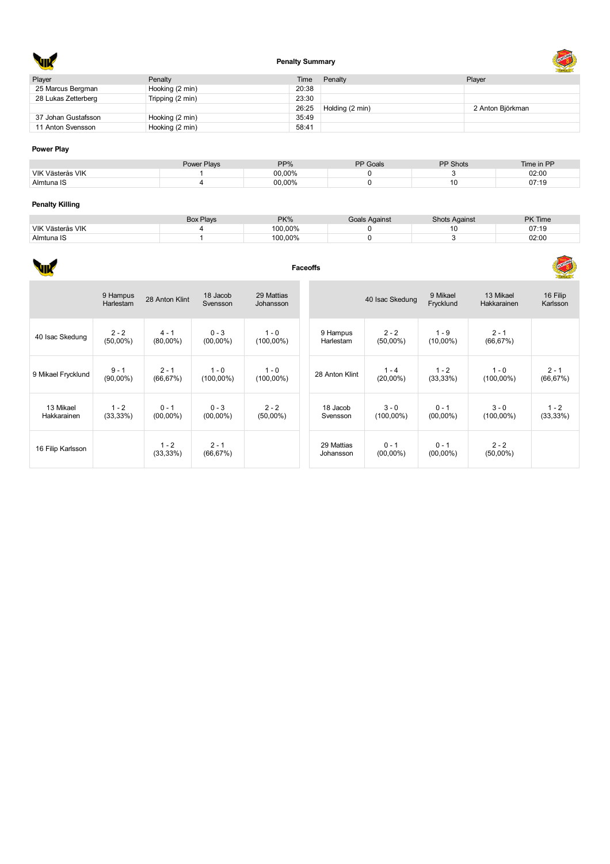

## **Penalty Summary**



| Player              | Penalty          | Time  | Penalty         | Player           |
|---------------------|------------------|-------|-----------------|------------------|
| 25 Marcus Bergman   | Hooking (2 min)  | 20:38 |                 |                  |
| 28 Lukas Zetterberg | Tripping (2 min) | 23:30 |                 |                  |
|                     |                  | 26:25 | Holding (2 min) | 2 Anton Björkman |
| 37 Johan Gustafsson | Hooking (2 min)  | 35:49 |                 |                  |
| 11 Anton Svensson   | Hooking (2 min)  | 58:41 |                 |                  |
|                     |                  |       |                 |                  |

#### **Power Play**

|                  | Power Plays | PP%    | PP Goals | <b>PP Shots</b> | Time in PP |
|------------------|-------------|--------|----------|-----------------|------------|
| VIK Västerås VIK |             | 00.00% |          |                 | 02:00      |
| Almtuna IS       |             | 00,00% |          | 10              | 07:19      |

### **Penalty Killing**

|                  | <b>Box Plays</b> | PK%     | ∃oals Against | Shots Against | <b>PK Time</b> |
|------------------|------------------|---------|---------------|---------------|----------------|
| VIK Västerås VIK |                  | 100.00% |               |               | 07:19          |
| Almtuna IS       |                  | 100.00% |               |               | 02:00          |

#### **Faceoffs** × ÷

|                          | 9 Hampus<br><b>Harlestam</b> | 28 Anton Klint         | 18 Jacob<br>Svensson    | 29 Mattias<br>Johansson |                         | 40 Isac Skedung         | 9 Mikael<br>Frycklund  | 13 Mikael<br>Hakkarainen | 16 Filip<br>Karlsson   |
|--------------------------|------------------------------|------------------------|-------------------------|-------------------------|-------------------------|-------------------------|------------------------|--------------------------|------------------------|
| 40 Isac Skedung          | $2 - 2$<br>$(50,00\%)$       | $4 - 1$<br>$(80,00\%)$ | $0 - 3$<br>$(00,00\%)$  | $1 - 0$<br>$(100,00\%)$ | 9 Hampus<br>Harlestam   | $2 - 2$<br>$(50,00\%)$  | $1 - 9$<br>$(10,00\%)$ | $2 - 1$<br>(66, 67%)     |                        |
| 9 Mikael Frycklund       | $9 - 1$<br>$(90,00\%)$       | $2 - 1$<br>(66, 67%)   | $1 - 0$<br>$(100,00\%)$ | $1 - 0$<br>$(100,00\%)$ | 28 Anton Klint          | $1 - 4$<br>$(20,00\%)$  | $1 - 2$<br>$(33,33\%)$ | $1 - 0$<br>$(100,00\%)$  | $2 - 1$<br>(66, 67%)   |
| 13 Mikael<br>Hakkarainen | $1 - 2$<br>(33,33%)          | $0 - 1$<br>$(00,00\%)$ | $0 - 3$<br>$(00,00\%)$  | $2 - 2$<br>$(50,00\%)$  | 18 Jacob<br>Svensson    | $3 - 0$<br>$(100,00\%)$ | $0 - 1$<br>$(00,00\%)$ | $3 - 0$<br>$(100,00\%)$  | $1 - 2$<br>$(33,33\%)$ |
| 16 Filip Karlsson        |                              | $1 - 2$<br>(33,33%)    | $2 - 1$<br>(66, 67%)    |                         | 29 Mattias<br>Johansson | $0 - 1$<br>$(00,00\%)$  | $0 - 1$<br>$(00,00\%)$ | $2 - 2$<br>$(50,00\%)$   |                        |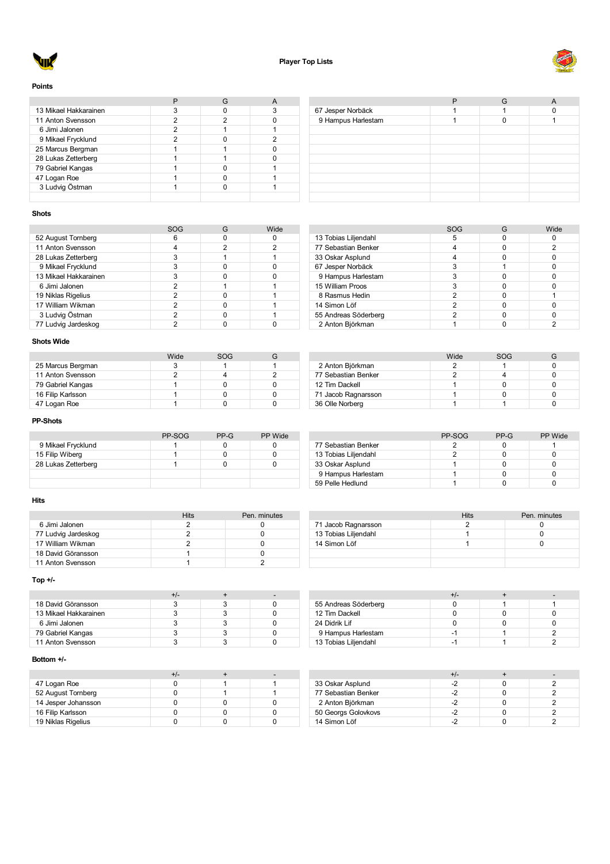



#### **Points**

| 13 Mikael Hakkarainen |  |   |
|-----------------------|--|---|
| 11 Anton Svensson     |  |   |
| 6 Jimi Jalonen        |  |   |
| 9 Mikael Frycklund    |  | ົ |
| 25 Marcus Bergman     |  |   |
| 28 Lukas Zetterberg   |  |   |
| 79 Gabriel Kangas     |  |   |
| 47 Logan Roe          |  |   |
| 3 Ludvig Östman       |  |   |
|                       |  |   |

| 67 Jesper Norbäck  |  |  |
|--------------------|--|--|
| 9 Hampus Harlestam |  |  |
|                    |  |  |
|                    |  |  |
|                    |  |  |
|                    |  |  |
|                    |  |  |
|                    |  |  |
|                    |  |  |
|                    |  |  |

#### **Shots**

|                       | SOG | Wide |
|-----------------------|-----|------|
| 52 August Tornberg    |     |      |
| 11 Anton Svensson     |     | 2    |
| 28 Lukas Zetterberg   |     |      |
| 9 Mikael Frycklund    | 3   |      |
| 13 Mikael Hakkarainen | 3   |      |
| 6 Jimi Jalonen        | 2   |      |
| 19 Niklas Rigelius    | 2   |      |
| 17 William Wikman     | 2   |      |
| 3 Ludvig Östman       | 2   |      |
| 77 Ludvig Jardeskog   |     |      |

#### Tobias Liljendahl 5 0 0 Sebastian Benker 4 0 2 33 Oskar Asplund 4 0 0 0 0<br>67 Jesper Norbäck 3 3 1 0 Jesper Norbäck 3 1 0 9 Hampus Harlestam and the state of the state of the state of the state of the state of the state of the state of the state of the state of the state of the state of the state of the state of the state of the state of the 15 William Proos 8 Rasmus Hedin 2 0 1<br>14 Simon Löf 2 0 0 0 14 Simon Löf<br>
55 Andreas Söderberg<br>
2 0 0 55 Andreas Söderberg 2 Anton Björkman 1 0 2

SOG G Wide<br>5 0 0

### **Shots Wide**

|                   | Wide | SOG |  |
|-------------------|------|-----|--|
| 25 Marcus Bergman |      |     |  |
| 11 Anton Svensson |      |     |  |
| 79 Gabriel Kangas |      |     |  |
| 16 Filip Karlsson |      |     |  |
| 47 Logan Roe      |      |     |  |

### **PP-Shots**

|                     | PP-SOG | $PP-G$ | <b>PP</b> Wide |
|---------------------|--------|--------|----------------|
| 9 Mikael Frycklund  |        |        |                |
| 15 Filip Wiberg     |        |        |                |
| 28 Lukas Zetterberg |        |        |                |
|                     |        |        |                |
|                     |        |        |                |

#### **Hits**

|                     | Hits | Pen. minutes |
|---------------------|------|--------------|
| 6 Jimi Jalonen      |      |              |
| 77 Ludvig Jardeskog |      |              |
| 17 William Wikman   |      |              |
| 18 David Göransson  |      |              |
| 11 Anton Svensson   |      |              |

### **Top +/-**

| 18 David Göransson    |  |  |
|-----------------------|--|--|
| 13 Mikael Hakkarainen |  |  |
| 6 Jimi Jalonen        |  |  |
| 79 Gabriel Kangas     |  |  |
| 11 Anton Svensson     |  |  |

#### **Bottom +/-**

| 47 Logan Roe        |  |  |
|---------------------|--|--|
| 52 August Tornberg  |  |  |
| 14 Jesper Johansson |  |  |
| 16 Filip Karlsson   |  |  |
| 19 Niklas Rigelius  |  |  |

| Wide | SOG |  |
|------|-----|--|
|      |     |  |
|      |     |  |
|      |     |  |
|      |     |  |
|      |     |  |
|      |     |  |

|                      | PP-SOG | $PP-G$ | <b>PP</b> Wide |
|----------------------|--------|--------|----------------|
| 77 Sebastian Benker  |        |        |                |
| 13 Tobias Liljendahl |        |        |                |
| 33 Oskar Asplund     |        |        |                |
| 9 Hampus Harlestam   |        |        |                |
| 59 Pelle Hedlund     |        |        |                |

|                      | Hits | Pen. minutes |
|----------------------|------|--------------|
| 71 Jacob Ragnarsson  |      |              |
| 13 Tobias Liljendahl |      |              |
| 14 Simon Löf         |      |              |
|                      |      |              |
|                      |      |              |

| 55 Andreas Söderberg |     |  |
|----------------------|-----|--|
| 12 Tim Dackell       |     |  |
| 24 Didrik Lif        |     |  |
| 9 Hampus Harlestam   | -1  |  |
| 13 Tobias Liljendahl | - 1 |  |

|                     | +/-  |  |
|---------------------|------|--|
| 33 Oskar Asplund    | $-2$ |  |
| 77 Sebastian Benker |      |  |
| 2 Anton Björkman    |      |  |
| 50 Georgs Golovkovs |      |  |
| 14 Simon Löf        |      |  |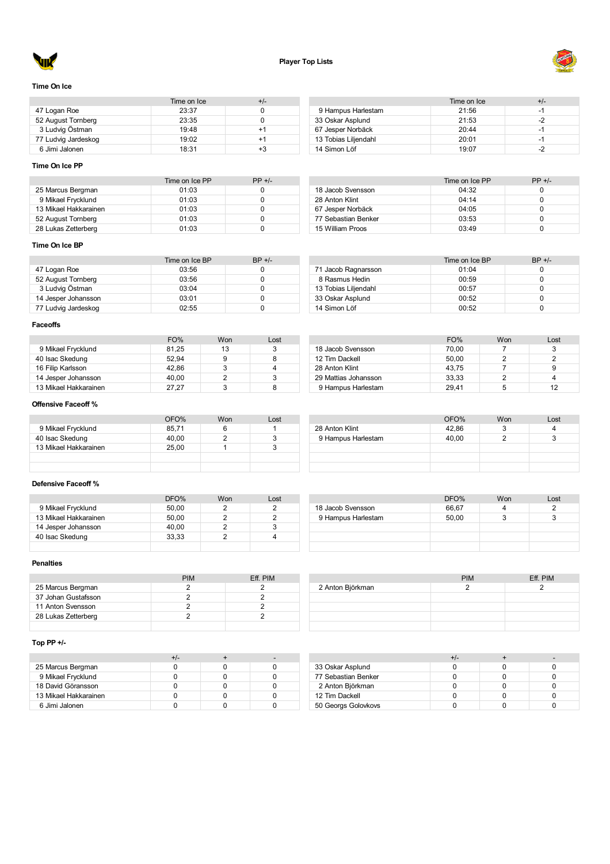



### **Time On Ice**

|                     | Time on Ice | +/- |
|---------------------|-------------|-----|
| 47 Logan Roe        | 23:37       |     |
| 52 August Tornberg  | 23:35       |     |
| 3 Ludvig Östman     | 19:48       | +1  |
| 77 Ludvig Jardeskog | 19:02       | +1  |
| 6 Jimi Jalonen      | 18:31       | +3  |

### **Time On Ice PP**

|                       | Time on Ice PP | $PP +/-$ |
|-----------------------|----------------|----------|
| 25 Marcus Bergman     | 01:03          |          |
| 9 Mikael Frycklund    | 01:03          |          |
| 13 Mikael Hakkarainen | 01:03          |          |
| 52 August Tornberg    | 01:03          |          |
| 28 Lukas Zetterberg   | 01:03          |          |

# **Time On Ice BP**

|                     | Time on Ice BP | $BP +/-$ |
|---------------------|----------------|----------|
| 47 Logan Roe        | 03:56          |          |
| 52 August Tornberg  | 03:56          |          |
| 3 Ludvig Östman     | 03:04          |          |
| 14 Jesper Johansson | 03:01          |          |
| 77 Ludvig Jardeskog | 02:55          |          |

|                      | Time on Ice | +/- |
|----------------------|-------------|-----|
| 9 Hampus Harlestam   | 21:56       | -1  |
| 33 Oskar Asplund     | 21:53       | -2  |
| 67 Jesper Norbäck    | 20:44       | -1  |
| 13 Tobias Liljendahl | 20:01       | -1  |
| 14 Simon Löf         | 19:07       | -2  |

|                     | Time on Ice PP | $PP +/-$ |
|---------------------|----------------|----------|
| 18 Jacob Svensson   | 04:32          |          |
| 28 Anton Klint      | 04.14          |          |
| 67 Jesper Norbäck   | 04:05          |          |
| 77 Sebastian Benker | 03:53          |          |
| 15 William Proos    | 03.49          |          |

|                      | Time on Ice BP | $BP +/-$ |
|----------------------|----------------|----------|
| 71 Jacob Ragnarsson  | 01:04          |          |
| 8 Rasmus Hedin       | 00:59          |          |
| 13 Tobias Liljendahl | 00:57          |          |
| 33 Oskar Asplund     | 00:52          |          |
| 14 Simon Löf         | 00:52          |          |

### **Faceoffs**

|                       | FO%   | Won | Lost |
|-----------------------|-------|-----|------|
| 9 Mikael Frycklund    | 81.25 | 13  |      |
| 40 Isac Skedung       | 52.94 |     |      |
| 16 Filip Karlsson     | 42.86 |     |      |
| 14 Jesper Johansson   | 40.00 |     |      |
| 13 Mikael Hakkarainen | 27.27 |     |      |

|                      | FO%   | Won | Lost |
|----------------------|-------|-----|------|
| 18 Jacob Svensson    | 70.00 |     | 3    |
| 12 Tim Dackell       | 50.00 |     |      |
| 28 Anton Klint       | 43.75 |     | 9    |
| 29 Mattias Johansson | 33.33 |     |      |
| 9 Hampus Harlestam   | 29.41 |     | 12   |

### **Offensive Faceoff %**

|                       | OFO%  | <b>Won</b> | Lost |                    | OFO%  | Won | Lost |
|-----------------------|-------|------------|------|--------------------|-------|-----|------|
| 9 Mikael Frycklund    | 85,71 |            |      | 28 Anton Klint     | 42.86 |     |      |
| 40 Isac Skedung       | 40,00 |            |      | 9 Hampus Harlestam | 40.00 |     |      |
| 13 Mikael Hakkarainen | 25.00 |            |      |                    |       |     |      |
|                       |       |            |      |                    |       |     |      |
|                       |       |            |      |                    |       |     |      |

### **Defensive Faceoff %**

|                       | DFO%  | Won | Lost |          |
|-----------------------|-------|-----|------|----------|
| 9 Mikael Frycklund    | 50.00 |     |      | 18 Jacob |
| 13 Mikael Hakkarainen | 50.00 |     |      | 9 Hampu  |
| 14 Jesper Johansson   | 40.00 |     |      |          |
| 40 Isac Skedung       | 33.33 |     |      |          |
|                       |       |     |      |          |

|                    | DFO%  | Won | Lost |
|--------------------|-------|-----|------|
| 18 Jacob Svensson  | 66,67 |     |      |
| 9 Hampus Harlestam | 50,00 |     |      |
|                    |       |     |      |
|                    |       |     |      |
|                    |       |     |      |

### **Penalties**

|                     | <b>PIM</b> | Eff. PIM |
|---------------------|------------|----------|
| 25 Marcus Bergman   |            |          |
| 37 Johan Gustafsson |            |          |
| 11 Anton Svensson   |            |          |
| 28 Lukas Zetterberg |            |          |
|                     |            |          |

|                  | <b>PIM</b> | Eff. PIM |
|------------------|------------|----------|
| 2 Anton Björkman |            |          |
|                  |            |          |
|                  |            |          |
|                  |            |          |
|                  |            |          |

## **Top PP +/-**

| 25 Marcus Bergman     |  |  |
|-----------------------|--|--|
| 9 Mikael Frycklund    |  |  |
| 18 David Göransson    |  |  |
| 13 Mikael Hakkarainen |  |  |
| 6 Jimi Jalonen        |  |  |

| 33 Oskar Asplund    |  |  |
|---------------------|--|--|
| 77 Sebastian Benker |  |  |
| 2 Anton Björkman    |  |  |
| 12 Tim Dackell      |  |  |
| 50 Georgs Golovkovs |  |  |